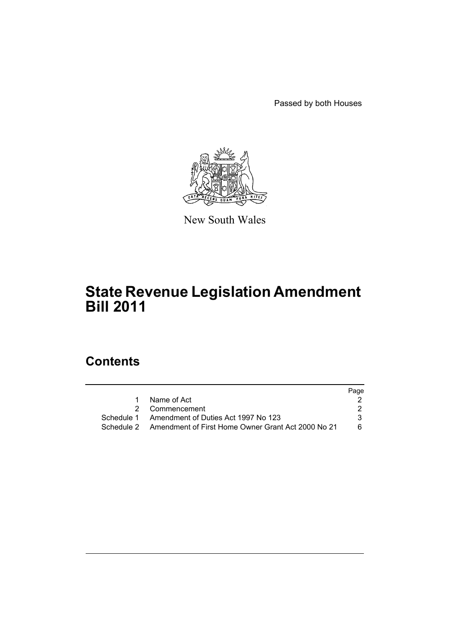Passed by both Houses



New South Wales

# **State Revenue Legislation Amendment Bill 2011**

# **Contents**

|    |                                                               | Page |
|----|---------------------------------------------------------------|------|
| 1. | Name of Act                                                   |      |
|    | 2 Commencement                                                |      |
|    | Schedule 1 Amendment of Duties Act 1997 No 123                |      |
|    | Schedule 2 Amendment of First Home Owner Grant Act 2000 No 21 | 6.   |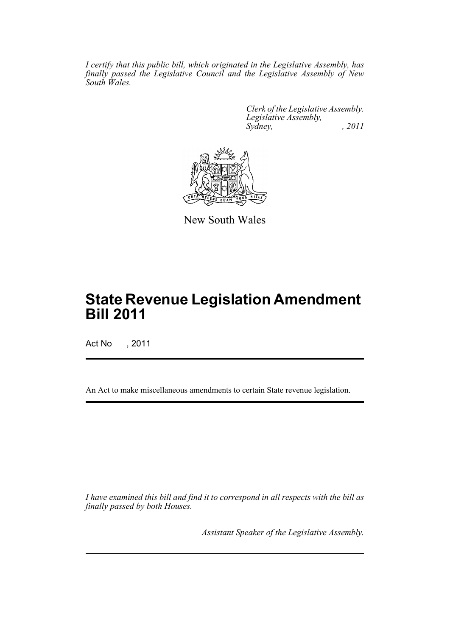*I certify that this public bill, which originated in the Legislative Assembly, has finally passed the Legislative Council and the Legislative Assembly of New South Wales.*

> *Clerk of the Legislative Assembly. Legislative Assembly, Sydney, , 2011*



New South Wales

# **State Revenue Legislation Amendment Bill 2011**

Act No , 2011

An Act to make miscellaneous amendments to certain State revenue legislation.

*I have examined this bill and find it to correspond in all respects with the bill as finally passed by both Houses.*

*Assistant Speaker of the Legislative Assembly.*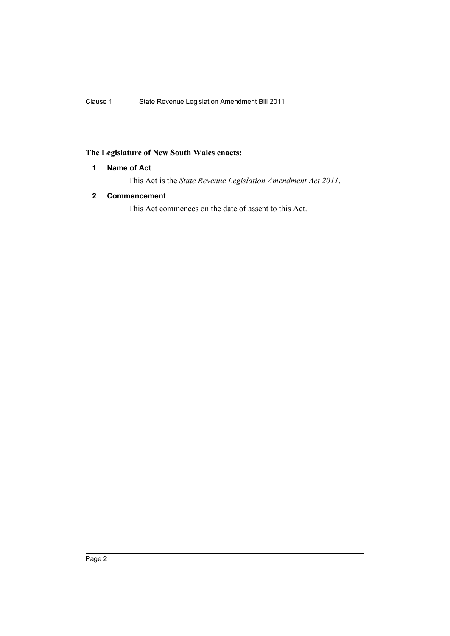# <span id="page-2-0"></span>**The Legislature of New South Wales enacts:**

## **1 Name of Act**

This Act is the *State Revenue Legislation Amendment Act 2011*.

## <span id="page-2-1"></span>**2 Commencement**

This Act commences on the date of assent to this Act.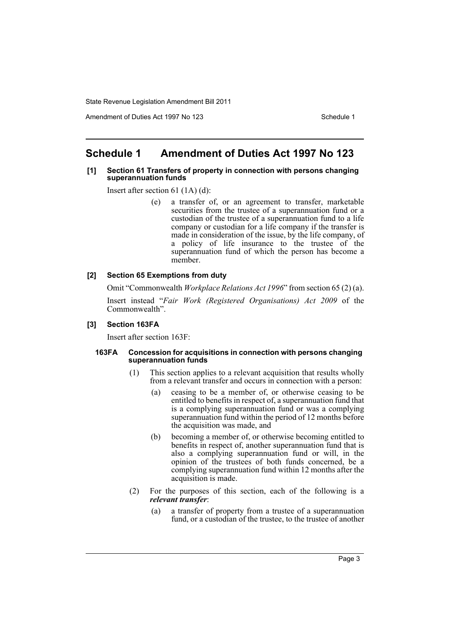Amendment of Duties Act 1997 No 123 Schedule 1

# <span id="page-3-0"></span>**Schedule 1 Amendment of Duties Act 1997 No 123**

### **[1] Section 61 Transfers of property in connection with persons changing superannuation funds**

Insert after section 61 (1A) (d):

(e) a transfer of, or an agreement to transfer, marketable securities from the trustee of a superannuation fund or a custodian of the trustee of a superannuation fund to a life company or custodian for a life company if the transfer is made in consideration of the issue, by the life company, of a policy of life insurance to the trustee of the superannuation fund of which the person has become a member.

### **[2] Section 65 Exemptions from duty**

Omit "Commonwealth *Workplace Relations Act 1996*" from section 65 (2) (a).

Insert instead "*Fair Work (Registered Organisations) Act 2009* of the Commonwealth".

### **[3] Section 163FA**

Insert after section 163F:

#### **163FA Concession for acquisitions in connection with persons changing superannuation funds**

- (1) This section applies to a relevant acquisition that results wholly from a relevant transfer and occurs in connection with a person:
	- (a) ceasing to be a member of, or otherwise ceasing to be entitled to benefits in respect of, a superannuation fund that is a complying superannuation fund or was a complying superannuation fund within the period of 12 months before the acquisition was made, and
	- (b) becoming a member of, or otherwise becoming entitled to benefits in respect of, another superannuation fund that is also a complying superannuation fund or will, in the opinion of the trustees of both funds concerned, be a complying superannuation fund within 12 months after the acquisition is made.
- (2) For the purposes of this section, each of the following is a *relevant transfer*:
	- (a) a transfer of property from a trustee of a superannuation fund, or a custodian of the trustee, to the trustee of another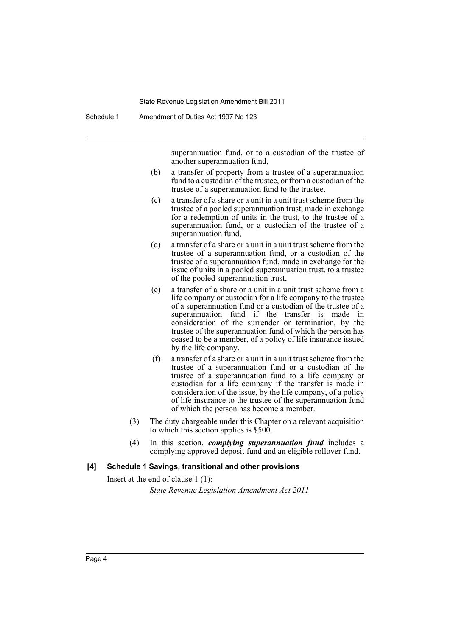superannuation fund, or to a custodian of the trustee of another superannuation fund,

- (b) a transfer of property from a trustee of a superannuation fund to a custodian of the trustee, or from a custodian of the trustee of a superannuation fund to the trustee,
- (c) a transfer of a share or a unit in a unit trust scheme from the trustee of a pooled superannuation trust, made in exchange for a redemption of units in the trust, to the trustee of a superannuation fund, or a custodian of the trustee of a superannuation fund,
- (d) a transfer of a share or a unit in a unit trust scheme from the trustee of a superannuation fund, or a custodian of the trustee of a superannuation fund, made in exchange for the issue of units in a pooled superannuation trust, to a trustee of the pooled superannuation trust,
- (e) a transfer of a share or a unit in a unit trust scheme from a life company or custodian for a life company to the trustee of a superannuation fund or a custodian of the trustee of a superannuation fund if the transfer is made in consideration of the surrender or termination, by the trustee of the superannuation fund of which the person has ceased to be a member, of a policy of life insurance issued by the life company,
- (f) a transfer of a share or a unit in a unit trust scheme from the trustee of a superannuation fund or a custodian of the trustee of a superannuation fund to a life company or custodian for a life company if the transfer is made in consideration of the issue, by the life company, of a policy of life insurance to the trustee of the superannuation fund of which the person has become a member.
- (3) The duty chargeable under this Chapter on a relevant acquisition to which this section applies is \$500.
- (4) In this section, *complying superannuation fund* includes a complying approved deposit fund and an eligible rollover fund.

#### **[4] Schedule 1 Savings, transitional and other provisions**

Insert at the end of clause 1 (1):

*State Revenue Legislation Amendment Act 2011*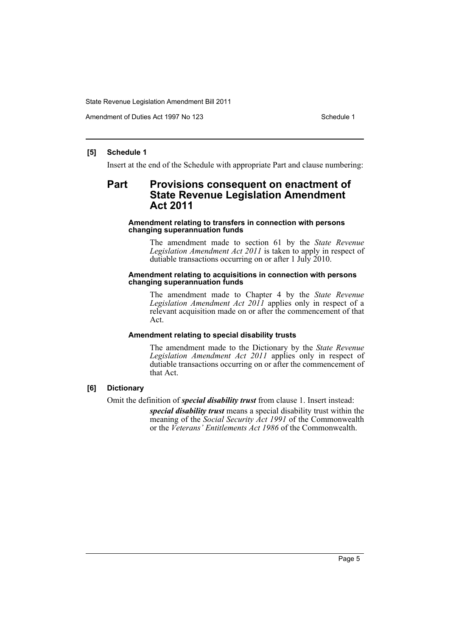Amendment of Duties Act 1997 No 123 Schedule 1

### **[5] Schedule 1**

Insert at the end of the Schedule with appropriate Part and clause numbering:

# **Part Provisions consequent on enactment of State Revenue Legislation Amendment Act 2011**

#### **Amendment relating to transfers in connection with persons changing superannuation funds**

The amendment made to section 61 by the *State Revenue Legislation Amendment Act 2011* is taken to apply in respect of dutiable transactions occurring on or after 1 July  $2010$ .

#### **Amendment relating to acquisitions in connection with persons changing superannuation funds**

The amendment made to Chapter 4 by the *State Revenue Legislation Amendment Act 2011* applies only in respect of a relevant acquisition made on or after the commencement of that Act.

### **Amendment relating to special disability trusts**

The amendment made to the Dictionary by the *State Revenue Legislation Amendment Act 2011* applies only in respect of dutiable transactions occurring on or after the commencement of that Act.

### **[6] Dictionary**

Omit the definition of *special disability trust* from clause 1. Insert instead:

*special disability trust* means a special disability trust within the meaning of the *Social Security Act 1991* of the Commonwealth or the *Veterans' Entitlements Act 1986* of the Commonwealth.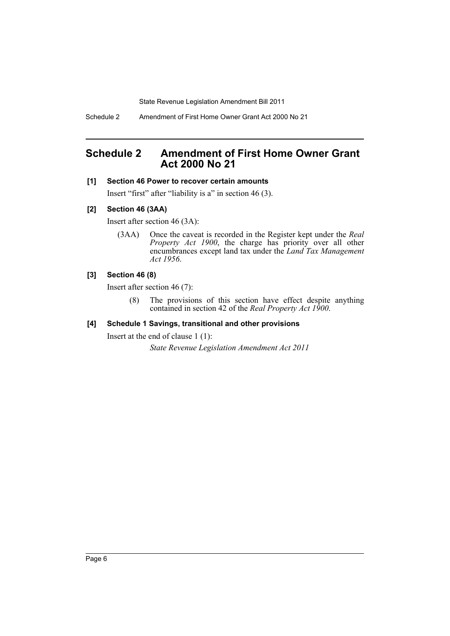Schedule 2 Amendment of First Home Owner Grant Act 2000 No 21

# <span id="page-6-0"></span>**Schedule 2 Amendment of First Home Owner Grant Act 2000 No 21**

### **[1] Section 46 Power to recover certain amounts**

Insert "first" after "liability is a" in section 46 (3).

### **[2] Section 46 (3AA)**

Insert after section 46 (3A):

(3AA) Once the caveat is recorded in the Register kept under the *Real Property Act 1900*, the charge has priority over all other encumbrances except land tax under the *Land Tax Management Act 1956*.

### **[3] Section 46 (8)**

Insert after section 46 (7):

(8) The provisions of this section have effect despite anything contained in section 42 of the *Real Property Act 1900*.

### **[4] Schedule 1 Savings, transitional and other provisions**

Insert at the end of clause 1 (1):

*State Revenue Legislation Amendment Act 2011*